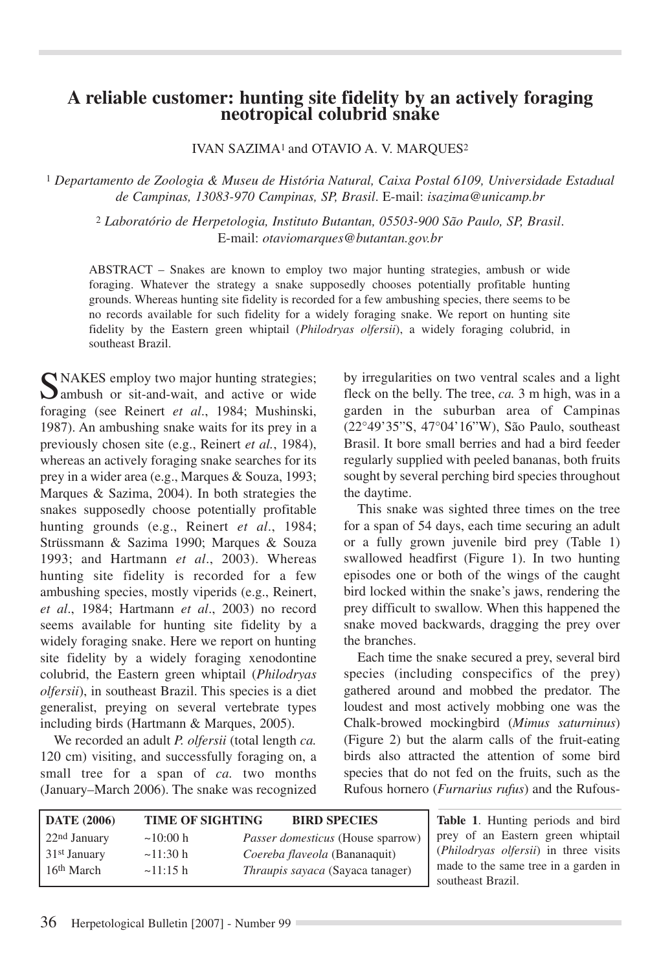## **A reliable customer: hunting site fidelity by an actively foraging neotropical colubrid snake**

IVAN SAZIMA<sup>1</sup> and OTAVIO A. V. MARQUES<sup>2</sup>

<sup>1</sup> *Departamento de Zoologia & Museu de História Natural, Caixa Postal 6109, Universidade Estadual de Campinas, 13083-970 Campinas, SP, Brasil*. E-mail: *isazima@unicamp.br*

<sup>2</sup> *Laboratório de Herpetologia, Instituto Butantan, 05503-900 São Paulo, SP, Brasil*. E-mail: *otaviomarques@butantan.gov.br*

ABSTRACT – Snakes are known to employ two major hunting strategies, ambush or wide foraging. Whatever the strategy a snake supposedly chooses potentially profitable hunting grounds. Whereas hunting site fidelity is recorded for a few ambushing species, there seems to be no records available for such fidelity for a widely foraging snake. We report on hunting site fidelity by the Eastern green whiptail (*Philodryas olfersii*), a widely foraging colubrid, in southeast Brazil.

C NAKES employ two major hunting strategies; **D** ambush or sit-and-wait, and active or wide foraging (see Reinert *et al*., 1984; Mushinski, 1987). An ambushing snake waits for its prey in a previously chosen site (e.g., Reinert *et al.*, 1984), whereas an actively foraging snake searches for its prey in a wider area (e.g., Marques & Souza, 1993; Marques & Sazima, 2004). In both strategies the snakes supposedly choose potentially profitable hunting grounds (e.g., Reinert *et al*., 1984; Strüssmann & Sazima 1990; Marques & Souza 1993; and Hartmann *et al*., 2003). Whereas hunting site fidelity is recorded for a few ambushing species, mostly viperids (e.g., Reinert, *et al*., 1984; Hartmann *et al*., 2003) no record seems available for hunting site fidelity by a widely foraging snake. Here we report on hunting site fidelity by a widely foraging xenodontine colubrid, the Eastern green whiptail (*Philodryas olfersii*), in southeast Brazil. This species is a diet generalist, preying on several vertebrate types including birds (Hartmann & Marques, 2005).

We recorded an adult *P. olfersii* (total length *ca.* 120 cm) visiting, and successfully foraging on, a small tree for a span of *ca.* two months (January–March 2006). The snake was recognized by irregularities on two ventral scales and a light fleck on the belly. The tree, *ca.* 3 m high, was in a garden in the suburban area of Campinas (22°49'35"S, 47°04'16"W), São Paulo, southeast Brasil. It bore small berries and had a bird feeder regularly supplied with peeled bananas, both fruits sought by several perching bird species throughout the daytime.

This snake was sighted three times on the tree for a span of 54 days, each time securing an adult or a fully grown juvenile bird prey (Table 1) swallowed headfirst (Figure 1). In two hunting episodes one or both of the wings of the caught bird locked within the snake's jaws, rendering the prey difficult to swallow. When this happened the snake moved backwards, dragging the prey over the branches.

Each time the snake secured a prey, several bird species (including conspecifics of the prey) gathered around and mobbed the predator. The loudest and most actively mobbing one was the Chalk-browed mockingbird (*Mimus saturninus*) (Figure 2) but the alarm calls of the fruit-eating birds also attracted the attention of some bird species that do not fed on the fruits, such as the Rufous hornero (*Furnarius rufus*) and the Rufous-

| <b>DATE</b> (2006)       | <b>TIME OF SIGHTING</b> | <b>BIRD SPECIES</b>                      | <b>Table 1.</b> Hunting periods and bird |
|--------------------------|-------------------------|------------------------------------------|------------------------------------------|
| $22nd$ January           | $\sim$ 10:00 h          | <i>Passer domesticus</i> (House sparrow) | prey of an Eastern green whiptail        |
| 31 <sup>st</sup> January | $\sim$ 11:30 h          | Coereba flaveola (Bananaquit)            | (Philodryas olfersii) in three visits    |
| 16 <sup>th</sup> March   | $\sim$ 11:15 h          | <i>Thraupis sayaca</i> (Sayaca tanager)  | made to the same tree in a garden in     |
|                          |                         |                                          | southeast Brazil.                        |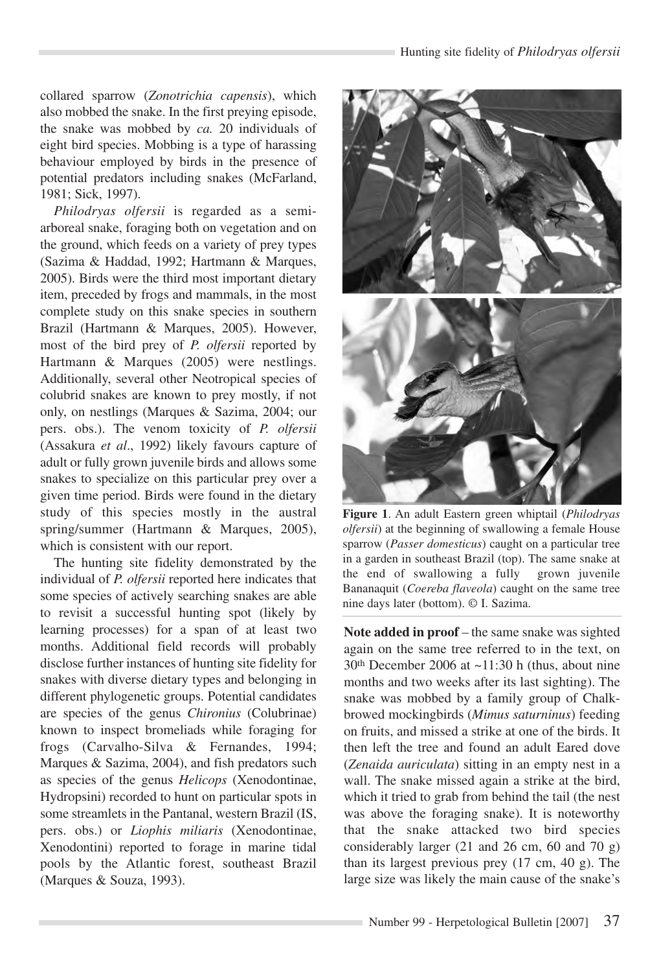collared sparrow (*Zonotrichia capensis*), which also mobbed the snake. In the first preying episode, the snake was mobbed by *ca.* 20 individuals of eight bird species. Mobbing is a type of harassing behaviour employed by birds in the presence of potential predators including snakes (McFarland, 1981; Sick, 1997).

*Philodryas olfersii* is regarded as a semiarboreal snake, foraging both on vegetation and on the ground, which feeds on a variety of prey types (Sazima & Haddad, 1992; Hartmann & Marques, 2005). Birds were the third most important dietary item, preceded by frogs and mammals, in the most complete study on this snake species in southern Brazil (Hartmann & Marques, 2005). However, most of the bird prey of *P. olfersii* reported by Hartmann & Marques (2005) were nestlings. Additionally, several other Neotropical species of colubrid snakes are known to prey mostly, if not only, on nestlings (Marques & Sazima, 2004; our pers. obs.). The venom toxicity of *P. olfersii* (Assakura *et al*., 1992) likely favours capture of adult or fully grown juvenile birds and allows some snakes to specialize on this particular prey over a given time period. Birds were found in the dietary study of this species mostly in the austral spring/summer (Hartmann & Marques, 2005), which is consistent with our report.

The hunting site fidelity demonstrated by the individual of *P. olfersii* reported here indicates that some species of actively searching snakes are able to revisit a successful hunting spot (likely by learning processes) for a span of at least two months. Additional field records will probably disclose further instances of hunting site fidelity for snakes with diverse dietary types and belonging in different phylogenetic groups. Potential candidates are species of the genus *Chironius* (Colubrinae) known to inspect bromeliads while foraging for frogs (Carvalho-Silva & Fernandes, 1994; Marques & Sazima, 2004), and fish predators such as species of the genus *Helicops* (Xenodontinae, Hydropsini) recorded to hunt on particular spots in some streamlets in the Pantanal, western Brazil (IS, pers. obs.) or *Liophis miliaris* (Xenodontinae, Xenodontini) reported to forage in marine tidal pools by the Atlantic forest, southeast Brazil (Marques & Souza, 1993).



**Figure 1**. An adult Eastern green whiptail (*Philodryas olfersii*) at the beginning of swallowing a female House sparrow (*Passer domesticus*) caught on a particular tree in a garden in southeast Brazil (top). The same snake at the end of swallowing a fully grown juvenile Bananaquit (*Coereba flaveola*) caught on the same tree nine days later (bottom). © I. Sazima.

Note added in proof – the same snake was sighted again on the same tree referred to in the text, on 30th December 2006 at ~11:30 h (thus, about nine months and two weeks after its last sighting). The snake was mobbed by a family group of Chalkbrowed mockingbirds (*Mimus saturninus*) feeding on fruits, and missed a strike at one of the birds. It then left the tree and found an adult Eared dove (*Zenaida auriculata*) sitting in an empty nest in a wall. The snake missed again a strike at the bird, which it tried to grab from behind the tail (the nest was above the foraging snake). It is noteworthy that the snake attacked two bird species considerably larger (21 and 26 cm, 60 and 70 g) than its largest previous prey (17 cm, 40 g). The large size was likely the main cause of the snake's